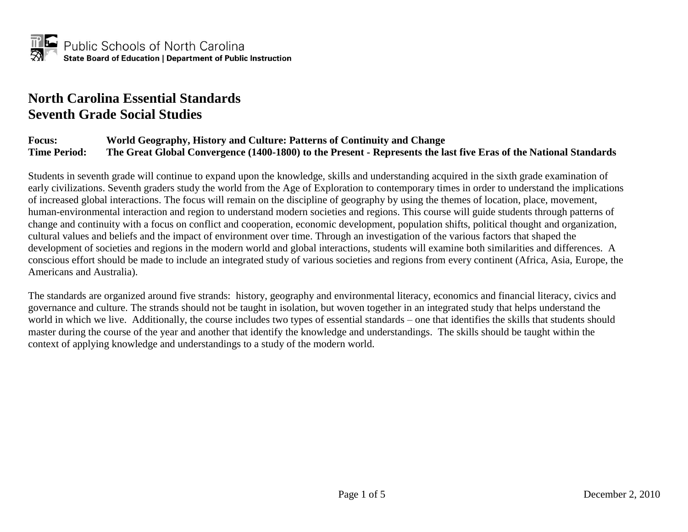# **North Carolina Essential Standards Seventh Grade Social Studies**

#### **Focus: World Geography, History and Culture: Patterns of Continuity and Change Time Period: The Great Global Convergence (1400-1800) to the Present - Represents the last five Eras of the National Standards**

Students in seventh grade will continue to expand upon the knowledge, skills and understanding acquired in the sixth grade examination of early civilizations. Seventh graders study the world from the Age of Exploration to contemporary times in order to understand the implications of increased global interactions. The focus will remain on the discipline of geography by using the themes of location, place, movement, human-environmental interaction and region to understand modern societies and regions. This course will guide students through patterns of change and continuity with a focus on conflict and cooperation, economic development, population shifts, political thought and organization, cultural values and beliefs and the impact of environment over time. Through an investigation of the various factors that shaped the development of societies and regions in the modern world and global interactions, students will examine both similarities and differences. A conscious effort should be made to include an integrated study of various societies and regions from every continent (Africa, Asia, Europe, the Americans and Australia).

The standards are organized around five strands: history, geography and environmental literacy, economics and financial literacy, civics and governance and culture. The strands should not be taught in isolation, but woven together in an integrated study that helps understand the world in which we live. Additionally, the course includes two types of essential standards – one that identifies the skills that students should master during the course of the year and another that identify the knowledge and understandings. The skills should be taught within the context of applying knowledge and understandings to a study of the modern world.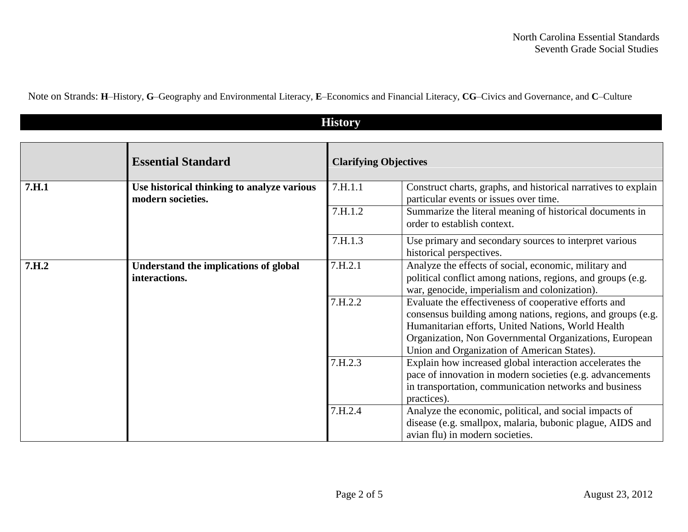Note on Strands: **H**–History, **G**–Geography and Environmental Literacy, **E**–Economics and Financial Literacy, **CG**–Civics and Governance, and **C**–Culture

| <b>History</b> |                                                                 |         |                                                                                                                                                                                                                                                                                     |  |
|----------------|-----------------------------------------------------------------|---------|-------------------------------------------------------------------------------------------------------------------------------------------------------------------------------------------------------------------------------------------------------------------------------------|--|
|                | <b>Essential Standard</b>                                       |         | <b>Clarifying Objectives</b>                                                                                                                                                                                                                                                        |  |
| 7.H.1          | Use historical thinking to analyze various<br>modern societies. | 7.H.1.1 | Construct charts, graphs, and historical narratives to explain<br>particular events or issues over time.                                                                                                                                                                            |  |
|                |                                                                 | 7.H.1.2 | Summarize the literal meaning of historical documents in<br>order to establish context.                                                                                                                                                                                             |  |
|                |                                                                 | 7.H.1.3 | Use primary and secondary sources to interpret various<br>historical perspectives.                                                                                                                                                                                                  |  |
| 7.H.2          | Understand the implications of global<br>interactions.          | 7.H.2.1 | Analyze the effects of social, economic, military and<br>political conflict among nations, regions, and groups (e.g.<br>war, genocide, imperialism and colonization).                                                                                                               |  |
|                |                                                                 | 7.H.2.2 | Evaluate the effectiveness of cooperative efforts and<br>consensus building among nations, regions, and groups (e.g.<br>Humanitarian efforts, United Nations, World Health<br>Organization, Non Governmental Organizations, European<br>Union and Organization of American States). |  |
|                |                                                                 | 7.H.2.3 | Explain how increased global interaction accelerates the<br>pace of innovation in modern societies (e.g. advancements<br>in transportation, communication networks and business<br>practices).                                                                                      |  |
|                |                                                                 | 7.H.2.4 | Analyze the economic, political, and social impacts of<br>disease (e.g. smallpox, malaria, bubonic plague, AIDS and<br>avian flu) in modern societies.                                                                                                                              |  |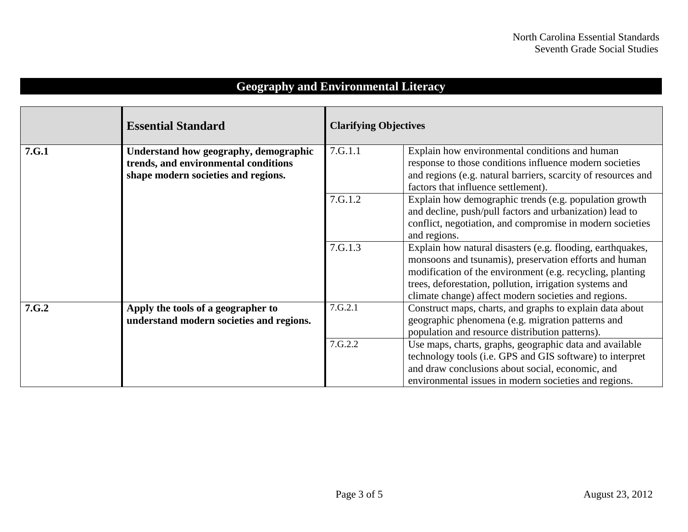# **Geography and Environmental Literacy**

|       | <b>Essential Standard</b>                                                                                            | <b>Clarifying Objectives</b> |                                                                                                                                                                                                                                                                                                      |
|-------|----------------------------------------------------------------------------------------------------------------------|------------------------------|------------------------------------------------------------------------------------------------------------------------------------------------------------------------------------------------------------------------------------------------------------------------------------------------------|
| 7.G.1 | Understand how geography, demographic<br>trends, and environmental conditions<br>shape modern societies and regions. | 7.G.1.1                      | Explain how environmental conditions and human<br>response to those conditions influence modern societies<br>and regions (e.g. natural barriers, scarcity of resources and<br>factors that influence settlement).                                                                                    |
|       |                                                                                                                      | 7.G.1.2                      | Explain how demographic trends (e.g. population growth<br>and decline, push/pull factors and urbanization) lead to<br>conflict, negotiation, and compromise in modern societies<br>and regions.                                                                                                      |
|       |                                                                                                                      | 7.G.1.3                      | Explain how natural disasters (e.g. flooding, earthquakes,<br>monsoons and tsunamis), preservation efforts and human<br>modification of the environment (e.g. recycling, planting<br>trees, deforestation, pollution, irrigation systems and<br>climate change) affect modern societies and regions. |
| 7.G.2 | Apply the tools of a geographer to<br>understand modern societies and regions.                                       | 7.G.2.1                      | Construct maps, charts, and graphs to explain data about<br>geographic phenomena (e.g. migration patterns and<br>population and resource distribution patterns).                                                                                                                                     |
|       |                                                                                                                      | 7.G.2.2                      | Use maps, charts, graphs, geographic data and available<br>technology tools (i.e. GPS and GIS software) to interpret<br>and draw conclusions about social, economic, and<br>environmental issues in modern societies and regions.                                                                    |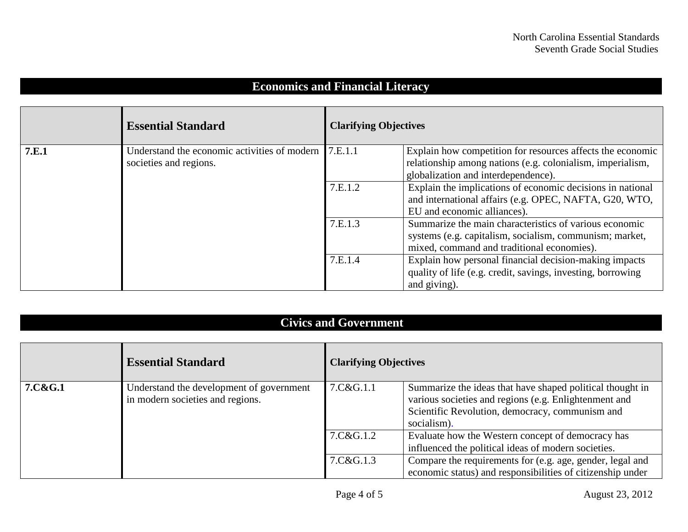## **Economics and Financial Literacy**

|       | <b>Essential Standard</b>                                              | <b>Clarifying Objectives</b>                                                                                                                                    |                                                                                                                                                                 |
|-------|------------------------------------------------------------------------|-----------------------------------------------------------------------------------------------------------------------------------------------------------------|-----------------------------------------------------------------------------------------------------------------------------------------------------------------|
| 7.E.1 | Understand the economic activities of modern<br>societies and regions. | 7.E.1.1                                                                                                                                                         | Explain how competition for resources affects the economic<br>relationship among nations (e.g. colonialism, imperialism,<br>globalization and interdependence). |
|       |                                                                        | 7.E.1.2                                                                                                                                                         | Explain the implications of economic decisions in national<br>and international affairs (e.g. OPEC, NAFTA, G20, WTO,<br>EU and economic alliances).             |
|       | 7.E.1.3                                                                | Summarize the main characteristics of various economic<br>systems (e.g. capitalism, socialism, communism; market,<br>mixed, command and traditional economies). |                                                                                                                                                                 |
|       |                                                                        | 7.E.1.4                                                                                                                                                         | Explain how personal financial decision-making impacts<br>quality of life (e.g. credit, savings, investing, borrowing<br>and giving).                           |

### **Civics and Government**

|         | <b>Essential Standard</b>                                                    | <b>Clarifying Objectives</b> |                                                                                                                                                                                      |
|---------|------------------------------------------------------------------------------|------------------------------|--------------------------------------------------------------------------------------------------------------------------------------------------------------------------------------|
| 7.C&G.1 | Understand the development of government<br>in modern societies and regions. | 7.C&G.1.1                    | Summarize the ideas that have shaped political thought in<br>various societies and regions (e.g. Enlightenment and<br>Scientific Revolution, democracy, communism and<br>socialism). |
|         |                                                                              | 7.C&G.1.2                    | Evaluate how the Western concept of democracy has<br>influenced the political ideas of modern societies.                                                                             |
|         |                                                                              | 7.C&G.1.3                    | Compare the requirements for (e.g. age, gender, legal and<br>economic status) and responsibilities of citizenship under                                                              |